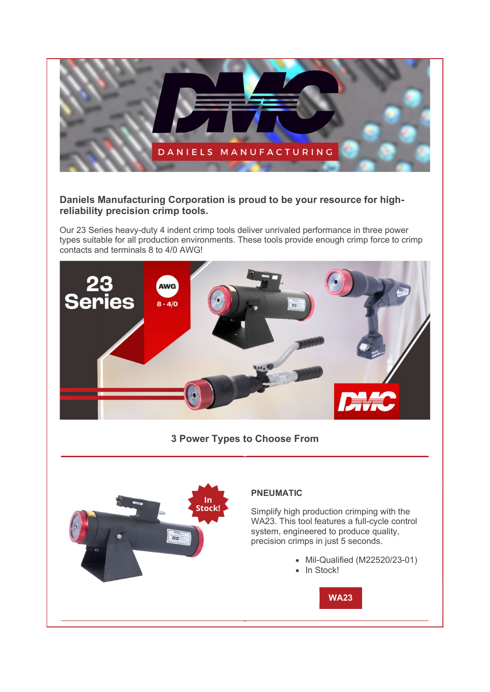

## Daniels Manufacturing Corporation is proud to be your resource for highreliability precision crimp tools.

Our 23 Series heavy-duty 4 indent crimp tools deliver unrivaled performance in three power types suitable for all production environments. These tools provide enough crimp force to crimp contacts and terminals 8 to 4/0 AWG!



3 Power Types to Choose From



## PNEUMATIC

Simplify high production crimping with the WA23. This tool features a full-cycle control system, engineered to produce quality, precision crimps in just 5 seconds.

- Mil-Qualified (M22520/23-01)
- In Stock!